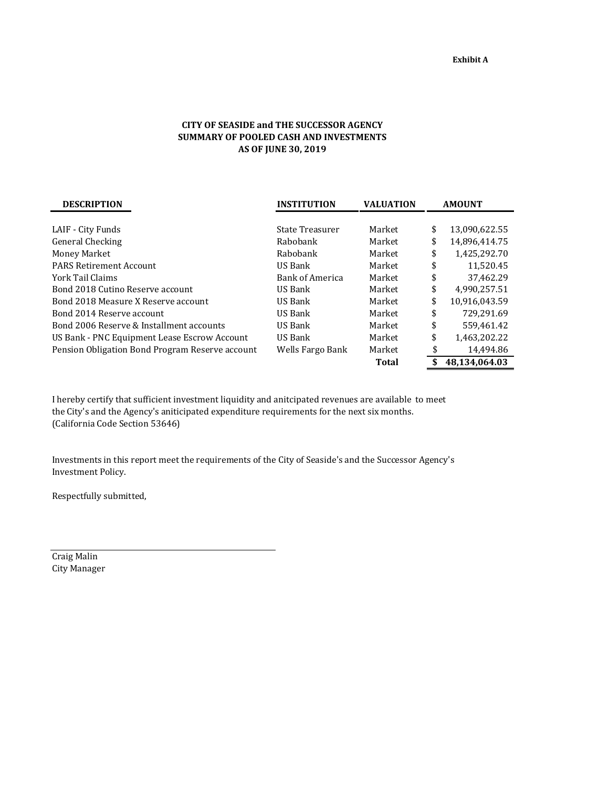## **CITY OF SEASIDE and THE SUCCESSOR AGENCY SUMMARY OF POOLED CASH AND INVESTMENTS AS OF JUNE 30, 2019**

| <b>DESCRIPTION</b>                              | <b>INSTITUTION</b>     | <b>VALUATION</b> | <b>AMOUNT</b>       |  |  |
|-------------------------------------------------|------------------------|------------------|---------------------|--|--|
|                                                 |                        |                  |                     |  |  |
| LAIF - City Funds                               | State Treasurer        | Market           | \$<br>13,090,622.55 |  |  |
| General Checking                                | Rabobank               | Market           | \$<br>14,896,414.75 |  |  |
| Money Market                                    | Rabobank               | Market           | \$<br>1,425,292.70  |  |  |
| <b>PARS Retirement Account</b>                  | US Bank                | Market           | \$<br>11,520.45     |  |  |
| York Tail Claims                                | <b>Bank of America</b> | Market           | \$<br>37,462.29     |  |  |
| Bond 2018 Cutino Reserve account                | US Bank                | Market           | \$<br>4.990.257.51  |  |  |
| Bond 2018 Measure X Reserve account             | US Bank                | Market           | \$<br>10,916,043.59 |  |  |
| Bond 2014 Reserve account                       | US Bank                | Market           | \$<br>729,291.69    |  |  |
| Bond 2006 Reserve & Installment accounts        | US Bank                | Market           | \$<br>559,461.42    |  |  |
| US Bank - PNC Equipment Lease Escrow Account    | US Bank                | Market           | \$<br>1,463,202.22  |  |  |
| Pension Obligation Bond Program Reserve account | Wells Fargo Bank       | Market           | \$<br>14,494.86     |  |  |
|                                                 |                        | Total            | \$<br>48.134.064.03 |  |  |

I hereby certify that sufficient investment liquidity and anitcipated revenues are available to meet the City's and the Agency's aniticipated expenditure requirements for the next six months. (California Code Section 53646)

Investments in this report meet the requirements of the City of Seaside's and the Successor Agency's Investment Policy.

Respectfully submitted,

Craig Malin City Manager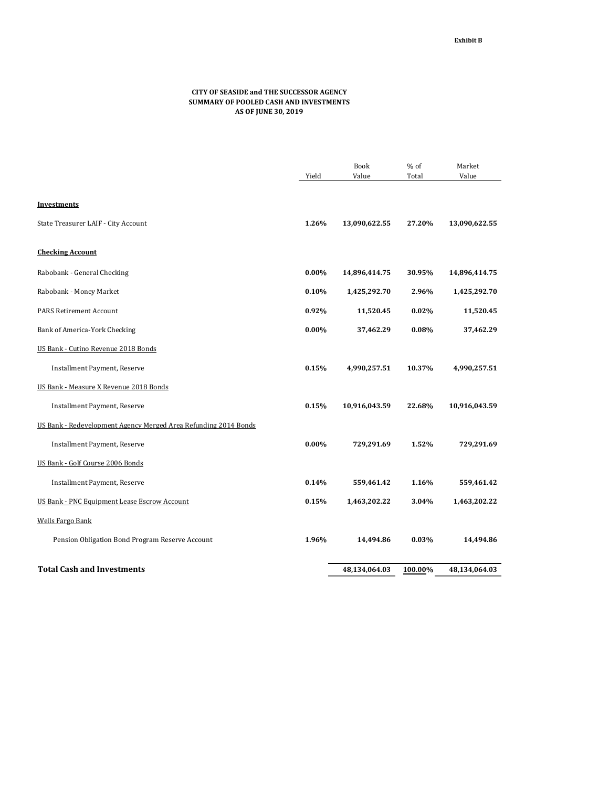## **CITY OF SEASIDE and THE SUCCESSOR AGENCY SUMMARY OF POOLED CASH AND INVESTMENTS AS OF JUNE 30, 2019**

|                                                                 |          | <b>Book</b>   | % of    | Market        |
|-----------------------------------------------------------------|----------|---------------|---------|---------------|
|                                                                 | Yield    | Value         | Total   | Value         |
|                                                                 |          |               |         |               |
| <b>Investments</b>                                              |          |               |         |               |
| State Treasurer LAIF - City Account                             | 1.26%    | 13,090,622.55 | 27.20%  | 13,090,622.55 |
| <b>Checking Account</b>                                         |          |               |         |               |
| Rabobank - General Checking                                     | $0.00\%$ | 14,896,414.75 | 30.95%  | 14,896,414.75 |
| Rabobank - Money Market                                         | 0.10%    | 1,425,292.70  | 2.96%   | 1,425,292.70  |
| <b>PARS Retirement Account</b>                                  | 0.92%    | 11,520.45     | 0.02%   | 11,520.45     |
| Bank of America-York Checking                                   | $0.00\%$ | 37,462.29     | 0.08%   | 37,462.29     |
| US Bank - Cutino Revenue 2018 Bonds                             |          |               |         |               |
| Installment Payment, Reserve                                    | 0.15%    | 4,990,257.51  | 10.37%  | 4,990,257.51  |
| US Bank - Measure X Revenue 2018 Bonds                          |          |               |         |               |
| Installment Payment, Reserve                                    | 0.15%    | 10,916,043.59 | 22.68%  | 10,916,043.59 |
| US Bank - Redevelopment Agency Merged Area Refunding 2014 Bonds |          |               |         |               |
| Installment Payment, Reserve                                    | $0.00\%$ | 729,291.69    | 1.52%   | 729,291.69    |
| US Bank - Golf Course 2006 Bonds                                |          |               |         |               |
| Installment Payment, Reserve                                    | 0.14%    | 559,461.42    | 1.16%   | 559,461.42    |
| <b>US Bank - PNC Equipment Lease Escrow Account</b>             | 0.15%    | 1,463,202.22  | 3.04%   | 1,463,202.22  |
| <b>Wells Fargo Bank</b>                                         |          |               |         |               |
| Pension Obligation Bond Program Reserve Account                 | 1.96%    | 14,494.86     | 0.03%   | 14,494.86     |
| <b>Total Cash and Investments</b>                               |          | 48,134,064.03 | 100.00% | 48,134,064.03 |
|                                                                 |          |               |         |               |